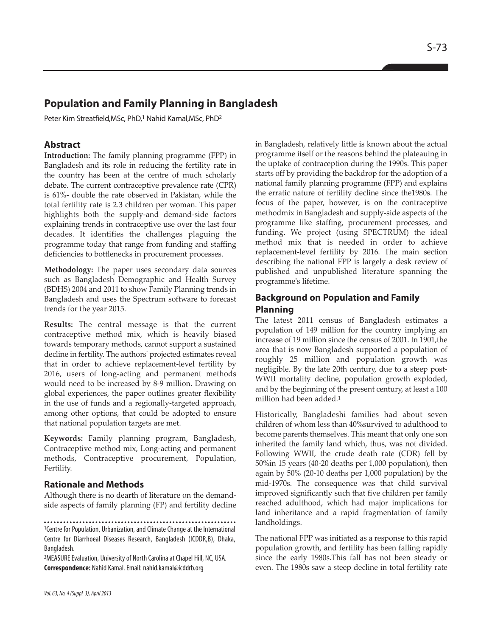# **Population and Family Planning in Bangladesh**

Peter Kim Streatfield, MSc, PhD,<sup>1</sup> Nahid Kamal, MSc, PhD<sup>2</sup>

## **Abstract**

**Introduction:** The family planning programme (FPP) in Bangladesh and its role in reducing the fertility rate in the country has been at the centre of much scholarly debate. The current contraceptive prevalence rate (CPR) is 61%- double the rate observed in Pakistan, while the total fertility rate is 2.3 children per woman. This paper highlights both the supply-and demand-side factors explaining trends in contraceptive use over the last four decades. It identifies the challenges plaguing the programme today that range from funding and staffing deficiencies to bottlenecks in procurement processes.

**Methodology:** The paper uses secondary data sources such as Bangladesh Demographic and Health Survey (BDHS) 2004 and 2011 to show Family Planning trends in Bangladesh and uses the Spectrum software to forecast trends for the year 2015.

**Results:** The central message is that the current contraceptive method mix, which is heavily biased towards temporary methods, cannot support a sustained decline in fertility. The authors' projected estimates reveal that in order to achieve replacement-level fertility by 2016, users of long-acting and permanent methods would need to be increased by 8-9 million. Drawing on global experiences, the paper outlines greater flexibility in the use of funds and a regionally-targeted approach, among other options, that could be adopted to ensure that national population targets are met.

**Keywords:** Family planning program, Bangladesh, Contraceptive method mix, Long-acting and permanent methods, Contraceptive procurement, Population, Fertility.

## **Rationale and Methods**

Although there is no dearth of literature on the demandside aspects of family planning (FP) and fertility decline

<sup>1</sup>Centre for Population, Urbanization, and Climate Change at the International

<sup>2</sup>MEASURE Evaluation, University of North Carolina at Chapel Hill, NC, USA. **Correspondence:** Nahid Kamal. Email: nahid.kamal@icddrb.org

in Bangladesh, relatively little is known about the actual programme itself or the reasons behind the plateauing in the uptake of contraception during the 1990s. This paper starts off by providing the backdrop for the adoption of a national family planning programme (FPP) and explains the erratic nature of fertility decline since the1980s. The focus of the paper, however, is on the contraceptive methodmix in Bangladesh and supply-side aspects of the programme like staffing, procurement processes, and funding. We project (using SPECTRUM) the ideal method mix that is needed in order to achieve replacement-level fertility by 2016. The main section describing the national FPP is largely a desk review of published and unpublished literature spanning the programme's lifetime.

## **Background on Population and Family Planning**

The latest 2011 census of Bangladesh estimates a population of 149 million for the country implying an increase of 19 million since the census of 2001. In 1901,the area that is now Bangladesh supported a population of roughly 25 million and population growth was negligible. By the late 20th century, due to a steep post-WWII mortality decline, population growth exploded, and by the beginning of the present century, at least a 100 million had been added.<sup>1</sup>

Historically, Bangladeshi families had about seven children of whom less than 40%survived to adulthood to become parents themselves. This meant that only one son inherited the family land which, thus, was not divided. Following WWII, the crude death rate (CDR) fell by 50%in 15 years (40-20 deaths per 1,000 population), then again by 50% (20-10 deaths per 1,000 population) by the mid-1970s. The consequence was that child survival improved significantly such that five children per family reached adulthood, which had major implications for land inheritance and a rapid fragmentation of family landholdings.

The national FPP was initiated as a response to this rapid population growth, and fertility has been falling rapidly since the early 1980s.This fall has not been steady or even. The 1980s saw a steep decline in total fertility rate

Centre for Diarrhoeal Diseases Research, Bangladesh (ICDDR,B), Dhaka, Bangladesh.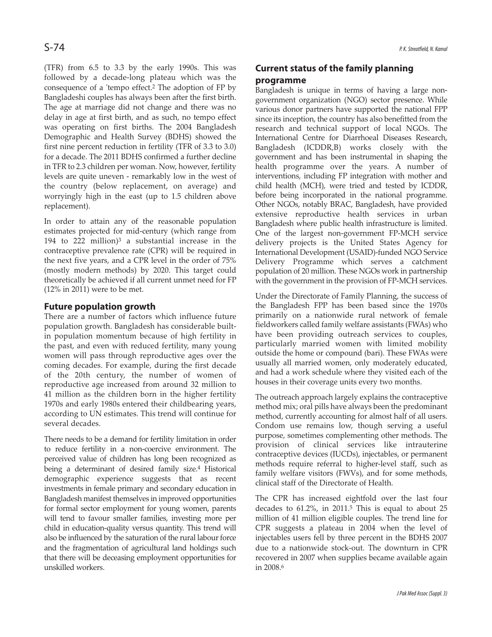(TFR) from 6.5 to 3.3 by the early 1990s. This was followed by a decade-long plateau which was the consequence of a 'tempo effect.<sup>2</sup> The adoption of FP by Bangladeshi couples has always been after the first birth. The age at marriage did not change and there was no delay in age at first birth, and as such, no tempo effect was operating on first births. The 2004 Bangladesh Demographic and Health Survey (BDHS) showed the first nine percent reduction in fertility (TFR of 3.3 to 3.0) for a decade. The 2011 BDHS confirmed a further decline in TFR to 2.3 children per woman. Now, however, fertility levels are quite uneven - remarkably low in the west of the country (below replacement, on average) and worryingly high in the east (up to 1.5 children above replacement).

In order to attain any of the reasonable population estimates projected for mid-century (which range from 194 to 222 million) $3$  a substantial increase in the contraceptive prevalence rate (CPR) will be required in the next five years, and a CPR level in the order of 75% (mostly modern methods) by 2020. This target could theoretically be achieved if all current unmet need for FP (12% in 2011) were to be met.

### **Future population growth**

There are a number of factors which influence future population growth. Bangladesh has considerable builtin population momentum because of high fertility in the past, and even with reduced fertility, many young women will pass through reproductive ages over the coming decades. For example, during the first decade of the 20th century, the number of women of reproductive age increased from around 32 million to 41 million as the children born in the higher fertility 1970s and early 1980s entered their childbearing years, according to UN estimates. This trend will continue for several decades.

There needs to be a demand for fertility limitation in order to reduce fertility in a non-coercive environment. The perceived value of children has long been recognized as being a determinant of desired family size.<sup>4</sup> Historical demographic experience suggests that as recent investments in female primary and secondary education in Bangladesh manifest themselves in improved opportunities for formal sector employment for young women, parents will tend to favour smaller families, investing more per child in education-quality versus quantity. This trend will also be influenced by the saturation of the rural labour force and the fragmentation of agricultural land holdings such that there will be deceasing employment opportunities for unskilled workers.

# **Current status of the family planning programme**

Bangladesh is unique in terms of having a large nongovernment organization (NGO) sector presence. While various donor partners have supported the national FPP since its inception, the country has also benefitted from the research and technical support of local NGOs. The International Centre for Diarrhoeal Diseases Research, Bangladesh (ICDDR,B) works closely with the government and has been instrumental in shaping the health programme over the years. A number of interventions, including FP integration with mother and child health (MCH), were tried and tested by ICDDR, before being incorporated in the national programme. Other NGOs, notably BRAC, Bangladesh, have provided extensive reproductive health services in urban Bangladesh where public health infrastructure is limited. One of the largest non-government FP-MCH service delivery projects is the United States Agency for International Development (USAID)-funded NGO Service Delivery Programme which serves a catchment population of 20 million. These NGOs work in partnership with the government in the provision of FP-MCH services.

Under the Directorate of Family Planning, the success of the Bangladesh FPP has been based since the 1970s primarily on a nationwide rural network of female fieldworkers called family welfare assistants (FWAs) who have been providing outreach services to couples, particularly married women with limited mobility outside the home or compound (bari). These FWAs were usually all married women, only moderately educated, and had a work schedule where they visited each of the houses in their coverage units every two months.

The outreach approach largely explains the contraceptive method mix; oral pills have always been the predominant method, currently accounting for almost half of all users. Condom use remains low, though serving a useful purpose, sometimes complementing other methods. The provision of clinical services like intrauterine contraceptive devices (IUCDs), injectables, or permanent methods require referral to higher-level staff, such as family welfare visitors (FWVs), and for some methods, clinical staff of the Directorate of Health.

The CPR has increased eightfold over the last four decades to 61.2%, in 2011.<sup>5</sup> This is equal to about 25 million of 41 million eligible couples. The trend line for CPR suggests a plateau in 2004 when the level of injectables users fell by three percent in the BDHS 2007 due to a nationwide stock-out. The downturn in CPR recovered in 2007 when supplies became available again in 2008.<sup>6</sup>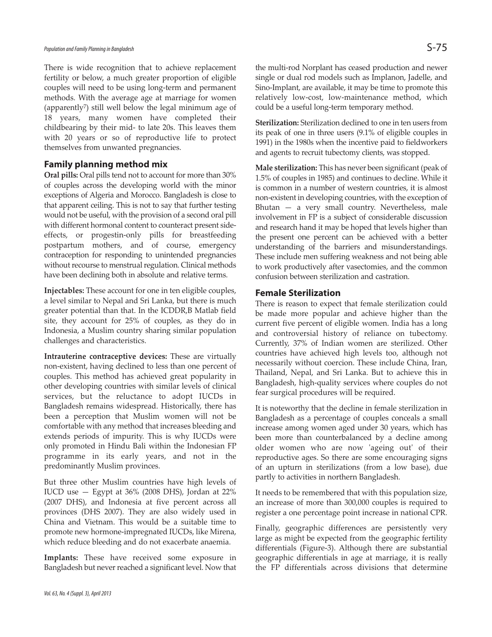#### Population and Family Planning in Bangladesh Section  $S$  -  $75$

There is wide recognition that to achieve replacement fertility or below, a much greater proportion of eligible couples will need to be using long-term and permanent methods. With the average age at marriage for women (apparently7) still well below the legal minimum age of 18 years, many women have completed their childbearing by their mid- to late 20s. This leaves them with 20 years or so of reproductive life to protect themselves from unwanted pregnancies.

## **Family planning method mix**

**Oral pills:** Oral pills tend not to account for more than 30% of couples across the developing world with the minor exceptions of Algeria and Morocco. Bangladesh is close to that apparent ceiling. This is not to say that further testing would not be useful, with the provision of a second oral pill with different hormonal content to counteract present sideeffects, or progestin-only pills for breastfeeding postpartum mothers, and of course, emergency contraception for responding to unintended pregnancies without recourse to menstrual regulation. Clinical methods have been declining both in absolute and relative terms.

**Injectables:** These account for one in ten eligible couples, a level similar to Nepal and Sri Lanka, but there is much greater potential than that. In the ICDDR,B Matlab field site, they account for 25% of couples, as they do in Indonesia, a Muslim country sharing similar population challenges and characteristics.

**Intrauterine contraceptive devices:** These are virtually non-existent, having declined to less than one percent of couples. This method has achieved great popularity in other developing countries with similar levels of clinical services, but the reluctance to adopt IUCDs in Bangladesh remains widespread. Historically, there has been a perception that Muslim women will not be comfortable with any method that increases bleeding and extends periods of impurity. This is why IUCDs were only promoted in Hindu Bali within the Indonesian FP programme in its early years, and not in the predominantly Muslim provinces.

But three other Muslim countries have high levels of IUCD use  $-$  Egypt at 36% (2008 DHS), Jordan at 22% (2007 DHS), and Indonesia at five percent across all provinces (DHS 2007). They are also widely used in China and Vietnam. This would be a suitable time to promote new hormone-impregnated IUCDs, like Mirena, which reduce bleeding and do not exacerbate anaemia.

**Implants:** These have received some exposure in Bangladesh but never reached a significant level. Now that the multi-rod Norplant has ceased production and newer single or dual rod models such as Implanon, Jadelle, and Sino-Implant, are available, it may be time to promote this relatively low-cost, low-maintenance method, which could be a useful long-term temporary method.

**Sterilization:** Sterilization declined to one in ten users from its peak of one in three users (9.1% of eligible couples in 1991) in the 1980s when the incentive paid to fieldworkers and agents to recruit tubectomy clients, was stopped.

**Male sterilization:** This has never been significant (peak of 1.5% of couples in 1985) and continues to decline. While it is common in a number of western countries, it is almost non-existent in developing countries, with the exception of Bhutan — a very small country. Nevertheless, male involvement in FP is a subject of considerable discussion and research hand it may be hoped that levels higher than the present one percent can be achieved with a better understanding of the barriers and misunderstandings. These include men suffering weakness and not being able to work productively after vasectomies, and the common confusion between sterilization and castration.

### **Female Sterilization**

There is reason to expect that female sterilization could be made more popular and achieve higher than the current five percent of eligible women. India has a long and controversial history of reliance on tubectomy. Currently, 37% of Indian women are sterilized. Other countries have achieved high levels too, although not necessarily without coercion. These include China, Iran, Thailand, Nepal, and Sri Lanka. But to achieve this in Bangladesh, high-quality services where couples do not fear surgical procedures will be required.

It is noteworthy that the decline in female sterilization in Bangladesh as a percentage of couples conceals a small increase among women aged under 30 years, which has been more than counterbalanced by a decline among older women who are now 'ageing out' of their reproductive ages. So there are some encouraging signs of an upturn in sterilizations (from a low base), due partly to activities in northern Bangladesh.

It needs to be remembered that with this population size, an increase of more than 300,000 couples is required to register a one percentage point increase in national CPR.

Finally, geographic differences are persistently very large as might be expected from the geographic fertility differentials (Figure-3). Although there are substantial geographic differentials in age at marriage, it is really the FP differentials across divisions that determine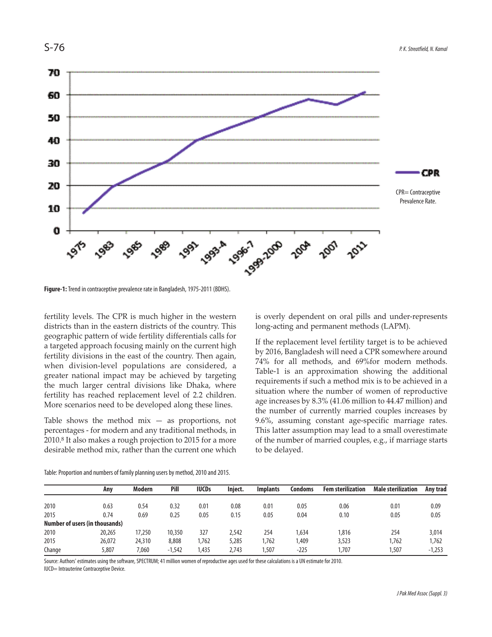

**Figure-1:** Trend in contraceptive prevalence rate in Bangladesh, 1975-2011 (BDHS).

fertility levels. The CPR is much higher in the western districts than in the eastern districts of the country. This geographic pattern of wide fertility differentials calls for a targeted approach focusing mainly on the current high fertility divisions in the east of the country. Then again, when division-level populations are considered, a greater national impact may be achieved by targeting the much larger central divisions like Dhaka, where fertility has reached replacement level of 2.2 children. More scenarios need to be developed along these lines.

Table shows the method  $mix - as$  proportions, not percentages - for modern and any traditional methods, in 2010.<sup>8</sup> It also makes a rough projection to 2015 for a more desirable method mix, rather than the current one which is overly dependent on oral pills and under-represents long-acting and permanent methods (LAPM).

If the replacement level fertility target is to be achieved by 2016, Bangladesh will need a CPR somewhere around 74% for all methods, and 69%for modern methods. Table-1 is an approximation showing the additional requirements if such a method mix is to be achieved in a situation where the number of women of reproductive age increases by 8.3% (41.06 million to 44.47 million) and the number of currently married couples increases by 9.6%, assuming constant age-specific marriage rates. This latter assumption may lead to a small overestimate of the number of married couples, e.g., if marriage starts to be delayed.

|        | Anv                            | Modern | Pill     | <b>IUCDs</b> | Inject. | <b>Implants</b> | <b>Condoms</b> | <b>Fem sterilization</b> | <b>Male sterilization</b> | Anv trad |
|--------|--------------------------------|--------|----------|--------------|---------|-----------------|----------------|--------------------------|---------------------------|----------|
|        |                                |        |          |              |         |                 |                |                          |                           |          |
| 2010   | 0.63                           | 0.54   | 0.32     | 0.01         | 0.08    | 0.01            | 0.05           | 0.06                     | 0.01                      | 0.09     |
| 2015   | 0.74                           | 0.69   | 0.25     | 0.05         | 0.15    | 0.05            | 0.04           | 0.10                     | 0.05                      | 0.05     |
|        | Number of users (in thousands) |        |          |              |         |                 |                |                          |                           |          |
| 2010   | 20,265                         | 17,250 | 10,350   | 327          | 2,542   | 254             | 1,634          | 1.816                    | 254                       | 3,014    |
| 2015   | 26,072                         | 24,310 | 8,808    | ,762         | 5,285   | ,762            | ,409           | 3,523                    | ,762                      | 1,762    |
| Change | 5,807                          | 7,060  | $-1,542$ | ,435         | 2,743   | ,507            | $-225$         | ,707                     | ,507                      | $-1,253$ |
|        |                                |        |          |              |         |                 |                |                          |                           |          |

Table: Proportion and numbers of family planning users by method, 2010 and 2015.

Source: Authors' estimates using the software, SPECTRUM; 41 million women of reproductive ages used for these calculations is a UN estimate for 2010. IUCD= Intrauterine Contraceptive Device.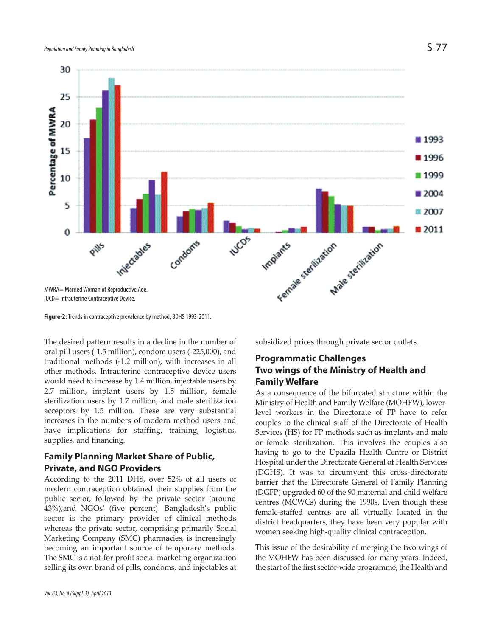

**Figure-2:** Trends in contraceptive prevalence by method, BDHS 1993-2011.

The desired pattern results in a decline in the number of oral pill users (-1.5 million), condom users (-225,000), and traditional methods (-1.2 million), with increases in all other methods. Intrauterine contraceptive device users would need to increase by 1.4 million, injectable users by 2.7 million, implant users by 1.5 million, female sterilization users by 1.7 million, and male sterilization acceptors by 1.5 million. These are very substantial increases in the numbers of modern method users and have implications for staffing, training, logistics, supplies, and financing.

## **Family Planning Market Share of Public, Private, and NGO Providers**

According to the 2011 DHS, over 52% of all users of modern contraception obtained their supplies from the public sector, followed by the private sector (around 43%),and NGOs' (five percent). Bangladesh's public sector is the primary provider of clinical methods whereas the private sector, comprising primarily Social Marketing Company (SMC) pharmacies, is increasingly becoming an important source of temporary methods. The SMC is a not-for-profit social marketing organization selling its own brand of pills, condoms, and injectables at subsidized prices through private sector outlets.

## **Programmatic Challenges Two wings of the Ministry of Health and Family Welfare**

As a consequence of the bifurcated structure within the Ministry of Health and Family Welfare (MOHFW), lowerlevel workers in the Directorate of FP have to refer couples to the clinical staff of the Directorate of Health Services (HS) for FP methods such as implants and male or female sterilization. This involves the couples also having to go to the Upazila Health Centre or District Hospital under the Directorate General of Health Services (DGHS). It was to circumvent this cross-directorate barrier that the Directorate General of Family Planning (DGFP) upgraded 60 of the 90 maternal and child welfare centres (MCWCs) during the 1990s. Even though these female-staffed centres are all virtually located in the district headquarters, they have been very popular with women seeking high-quality clinical contraception.

This issue of the desirability of merging the two wings of the MOHFW has been discussed for many years. Indeed, the start of the first sector-wide programme, the Health and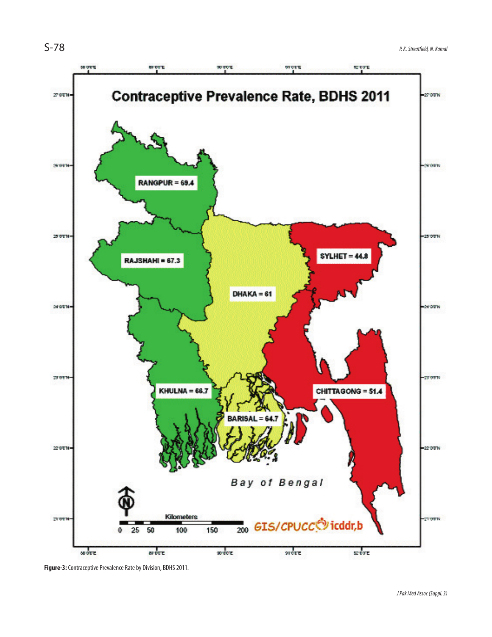

**Figure-3:** Contraceptive Prevalence Rate by Division, BDHS 2011.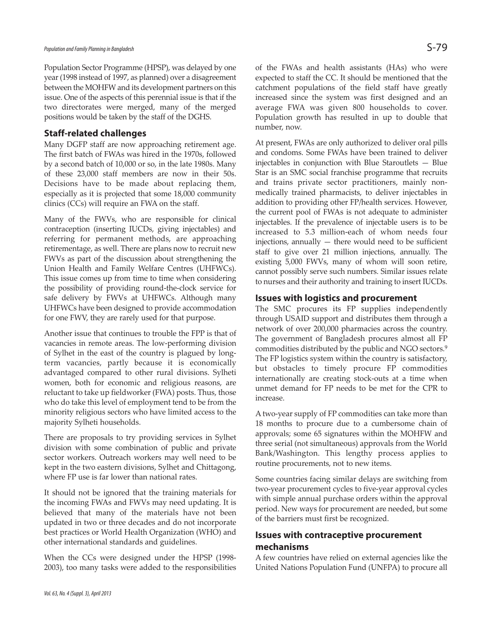Population Sector Programme (HPSP), was delayed by one year (1998 instead of 1997, as planned) over a disagreement between the MOHFW and its development partners on this issue. One of the aspects of this perennial issue is that if the two directorates were merged, many of the merged positions would be taken by the staff of the DGHS.

#### **Staff-related challenges**

Many DGFP staff are now approaching retirement age. The first batch of FWAs was hired in the 1970s, followed by a second batch of 10,000 or so, in the late 1980s. Many of these 23,000 staff members are now in their 50s. Decisions have to be made about replacing them, especially as it is projected that some 18,000 community clinics (CCs) will require an FWA on the staff.

Many of the FWVs, who are responsible for clinical contraception (inserting IUCDs, giving injectables) and referring for permanent methods, are approaching retirementage, as well. There are plans now to recruit new FWVs as part of the discussion about strengthening the Union Health and Family Welfare Centres (UHFWCs). This issue comes up from time to time when considering the possibility of providing round-the-clock service for safe delivery by FWVs at UHFWCs. Although many UHFWCs have been designed to provide accommodation for one FWV, they are rarely used for that purpose.

Another issue that continues to trouble the FPP is that of vacancies in remote areas. The low-performing division of Sylhet in the east of the country is plagued by longterm vacancies, partly because it is economically advantaged compared to other rural divisions. Sylheti women, both for economic and religious reasons, are reluctant to take up fieldworker (FWA) posts. Thus, those who do take this level of employment tend to be from the minority religious sectors who have limited access to the majority Sylheti households.

There are proposals to try providing services in Sylhet division with some combination of public and private sector workers. Outreach workers may well need to be kept in the two eastern divisions, Sylhet and Chittagong, where FP use is far lower than national rates.

It should not be ignored that the training materials for the incoming FWAs and FWVs may need updating. It is believed that many of the materials have not been updated in two or three decades and do not incorporate best practices or World Health Organization (WHO) and other international standards and guidelines.

When the CCs were designed under the HPSP (1998- 2003), too many tasks were added to the responsibilities of the FWAs and health assistants (HAs) who were expected to staff the CC. It should be mentioned that the catchment populations of the field staff have greatly increased since the system was first designed and an average FWA was given 800 households to cover. Population growth has resulted in up to double that number, now.

At present, FWAs are only authorized to deliver oral pills and condoms. Some FWAs have been trained to deliver injectables in conjunction with Blue Staroutlets — Blue Star is an SMC social franchise programme that recruits and trains private sector practitioners, mainly nonmedically trained pharmacists, to deliver injectables in addition to providing other FP/health services. However, the current pool of FWAs is not adequate to administer injectables. If the prevalence of injectable users is to be increased to 5.3 million-each of whom needs four injections, annually — there would need to be sufficient staff to give over 21 million injections, annually. The existing 5,000 FWVs, many of whom will soon retire, cannot possibly serve such numbers. Similar issues relate to nurses and their authority and training to insert IUCDs.

### **Issues with logistics and procurement**

The SMC procures its FP supplies independently through USAID support and distributes them through a network of over 200,000 pharmacies across the country. The government of Bangladesh procures almost all FP commodities distributed by the public and NGO sectors.<sup>9</sup> The FP logistics system within the country is satisfactory, but obstacles to timely procure FP commodities internationally are creating stock-outs at a time when unmet demand for FP needs to be met for the CPR to increase.

A two-year supply of FP commodities can take more than 18 months to procure due to a cumbersome chain of approvals; some 65 signatures within the MOHFW and three serial (not simultaneous) approvals from the World Bank/Washington. This lengthy process applies to routine procurements, not to new items.

Some countries facing similar delays are switching from two-year procurement cycles to five-year approval cycles with simple annual purchase orders within the approval period. New ways for procurement are needed, but some of the barriers must first be recognized.

# **Issues with contraceptive procurement mechanisms**

A few countries have relied on external agencies like the United Nations Population Fund (UNFPA) to procure all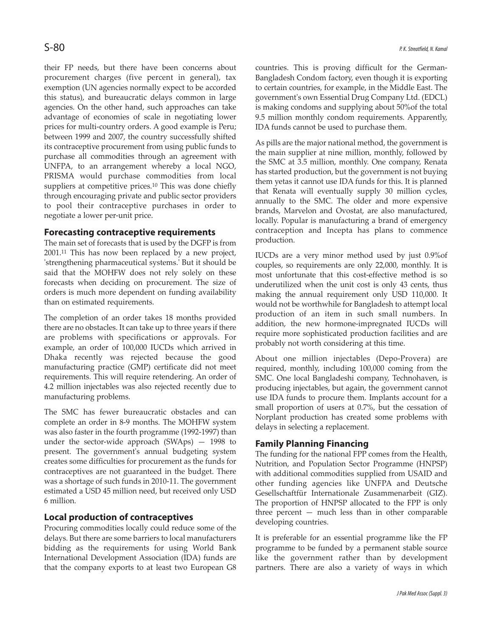their FP needs, but there have been concerns about procurement charges (five percent in general), tax exemption (UN agencies normally expect to be accorded this status), and bureaucratic delays common in large agencies. On the other hand, such approaches can take advantage of economies of scale in negotiating lower prices for multi-country orders. A good example is Peru; between 1999 and 2007, the country successfully shifted its contraceptive procurement from using public funds to purchase all commodities through an agreement with UNFPA, to an arrangement whereby a local NGO, PRISMA would purchase commodities from local suppliers at competitive prices.<sup>10</sup> This was done chiefly through encouraging private and public sector providers to pool their contraceptive purchases in order to negotiate a lower per-unit price.

### **Forecasting contraceptive requirements**

The main set of forecasts that is used by the DGFP is from 2001.<sup>11</sup> This has now been replaced by a new project, 'strengthening pharmaceutical systems.' But it should be said that the MOHFW does not rely solely on these forecasts when deciding on procurement. The size of orders is much more dependent on funding availability than on estimated requirements.

The completion of an order takes 18 months provided there are no obstacles. It can take up to three years if there are problems with specifications or approvals. For example, an order of 100,000 IUCDs which arrived in Dhaka recently was rejected because the good manufacturing practice (GMP) certificate did not meet requirements. This will require retendering. An order of 4.2 million injectables was also rejected recently due to manufacturing problems.

The SMC has fewer bureaucratic obstacles and can complete an order in 8-9 months. The MOHFW system was also faster in the fourth programme (1992-1997) than under the sector-wide approach (SWAps) — 1998 to present. The government's annual budgeting system creates some difficulties for procurement as the funds for contraceptives are not guaranteed in the budget. There was a shortage of such funds in 2010-11. The government estimated a USD 45 million need, but received only USD 6 million.

## **Local production of contraceptives**

Procuring commodities locally could reduce some of the delays. But there are some barriers to local manufacturers bidding as the requirements for using World Bank International Development Association (IDA) funds are that the company exports to at least two European G8 countries. This is proving difficult for the German-Bangladesh Condom factory, even though it is exporting to certain countries, for example, in the Middle East. The government's own Essential Drug Company Ltd. (EDCL) is making condoms and supplying about 50%of the total 9.5 million monthly condom requirements. Apparently, IDA funds cannot be used to purchase them.

As pills are the major national method, the government is the main supplier at nine million, monthly, followed by the SMC at 3.5 million, monthly. One company, Renata has started production, but the government is not buying them yetas it cannot use IDA funds for this. It is planned that Renata will eventually supply 30 million cycles, annually to the SMC. The older and more expensive brands, Marvelon and Ovostat, are also manufactured, locally. Popular is manufacturing a brand of emergency contraception and Incepta has plans to commence production.

IUCDs are a very minor method used by just 0.9%of couples, so requirements are only 22,000, monthly. It is most unfortunate that this cost-effective method is so underutilized when the unit cost is only 43 cents, thus making the annual requirement only USD 110,000. It would not be worthwhile for Bangladesh to attempt local production of an item in such small numbers. In addition, the new hormone-impregnated IUCDs will require more sophisticated production facilities and are probably not worth considering at this time.

About one million injectables (Depo-Provera) are required, monthly, including 100,000 coming from the SMC. One local Bangladeshi company, Technohaven, is producing injectables, but again, the government cannot use IDA funds to procure them. Implants account for a small proportion of users at 0.7%, but the cessation of Norplant production has created some problems with delays in selecting a replacement.

## **Family Planning Financing**

The funding for the national FPP comes from the Health, Nutrition, and Population Sector Programme (HNPSP) with additional commodities supplied from USAID and other funding agencies like UNFPA and Deutsche Gesellschaftfür Internationale Zusammenarbeit (GIZ). The proportion of HNPSP allocated to the FPP is only three percent — much less than in other comparable developing countries.

It is preferable for an essential programme like the FP programme to be funded by a permanent stable source like the government rather than by development partners. There are also a variety of ways in which